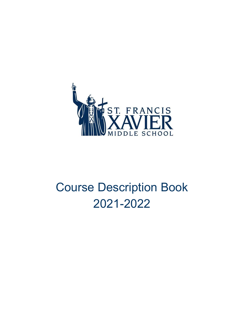

# Course Description Book 2021-2022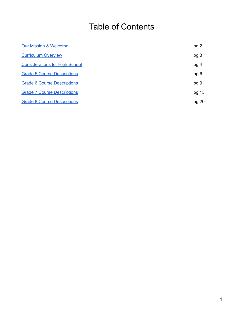## Table of Contents

| pg 2  |
|-------|
| pg 3  |
| pg 4  |
| pg 6  |
| pg 9  |
| pg 13 |
| pg 20 |
|       |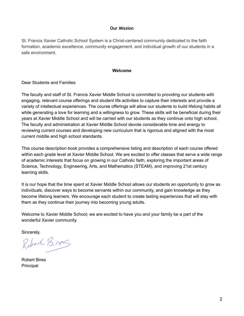#### **Our Mission**

<span id="page-2-0"></span>St. Francis Xavier Catholic School System is a Christ-centered community dedicated to the faith formation, academic excellence, community engagement, and individual growth of our students in a safe environment.

#### **Welcome**

#### Dear Students and Families

The faculty and staff of St. Francis Xavier Middle School is committed to providing our students with engaging, relevant course offerings and student life activities to capture their interests and provide a variety of intellectual experiences. The course offerings will allow our students to build lifelong habits all while generating a love for learning and a willingness to grow. These skills will be beneficial during their years at Xavier Middle School and will be carried with our students as they continue onto high school. The faculty and administration at Xavier Middle School devote considerable time and energy to reviewing current courses and developing new curriculum that is rigorous and aligned with the most current middle and high school standards.

This course description book provides a comprehensive listing and description of each course offered within each grade level at Xavier Middle School. We are excited to offer classes that serve a wide range of academic interests that focus on growing in our Catholic faith, exploring the important areas of Science, Technology, Engineering, Arts, and Mathematics (STEAM), and improving 21st century learning skills.

It is our hope that the time spent at Xavier Middle School allows our students an opportunity to grow as individuals, discover ways to become servants within our community, and gain knowledge as they become lifelong learners. We encourage each student to create lasting experiences that will stay with them as they continue their journey into becoming young adults.

Welcome to Xavier Middle School; we are excited to have you and your family be a part of the wonderful Xavier community.

Sincerely,

Robert Bires

Robert Bires Principal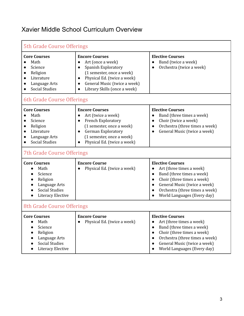## <span id="page-3-0"></span>Xavier Middle School Curriculum Overview

| <b>5th Grade Course Offerings</b>                                                                                                                             |                                                                                                                                                                                                                                                   |                                                                                                                                                                                                                                                        |  |
|---------------------------------------------------------------------------------------------------------------------------------------------------------------|---------------------------------------------------------------------------------------------------------------------------------------------------------------------------------------------------------------------------------------------------|--------------------------------------------------------------------------------------------------------------------------------------------------------------------------------------------------------------------------------------------------------|--|
| <b>Core Courses</b><br>Math<br>Science<br>Religion<br>Literature<br>Language Arts<br><b>Social Studies</b>                                                    | <b>Encore Courses</b><br>Art (once a week)<br>Spanish Exploratory<br>$\bullet$<br>(1 semester, once a week)<br>Physical Ed. (twice a week)<br>$\bullet$<br>General Music (twice a week)<br>$\bullet$<br>Library Skills (once a week)<br>$\bullet$ | <b>Elective Courses</b><br>Band (twice a week)<br>Orchestra (twice a week)                                                                                                                                                                             |  |
| 6th Grade Course Offerings<br><b>Core Courses</b><br>Math<br>Science<br>Religion<br>Literature<br>Language Arts<br><b>Social Studies</b>                      | <b>Encore Courses</b><br>Art (twice a week)<br>$\bullet$<br>French Exploratory<br>$\bullet$<br>(1 semester, once a week)<br>German Exploratory<br>$\bullet$<br>(1 semester, once a week)<br>Physical Ed. (twice a week)                           | <b>Elective Courses</b><br>Band (three times a week)<br>$\bullet$<br>Choir (twice a week)<br>$\bullet$<br>Orchestra (three times a week)<br>$\bullet$<br>General Music (twice a week)                                                                  |  |
| <b>7th Grade Course Offerings</b><br><b>Core Courses</b><br>Math<br>Science<br>Religion<br>Language Arts<br><b>Social Studies</b><br><b>Literacy Elective</b> | <b>Encore Course</b><br>Physical Ed. (twice a week)                                                                                                                                                                                               | <b>Elective Courses</b><br>Art (three times a week)<br>Band (three times a week)<br>$\bullet$<br>Choir (three times a week)<br>General Music (twice a week)<br>$\bullet$<br>Orchestra (three times a week)<br>World Languages (Every day)              |  |
| 8th Grade Course Offerings<br><b>Core Courses</b><br>Math<br>Science<br>Religion<br>Language Arts<br><b>Social Studies</b><br><b>Literacy Elective</b>        | <b>Encore Course</b><br>Physical Ed. (twice a week)<br>$\bullet$                                                                                                                                                                                  | <b>Elective Courses</b><br>Art (three times a week)<br>Band (three times a week)<br>Choir (three times a week)<br>$\bullet$<br>Orchestra (three times a week)<br>$\bullet$<br>General Music (twice a week)<br>$\bullet$<br>World Languages (Every day) |  |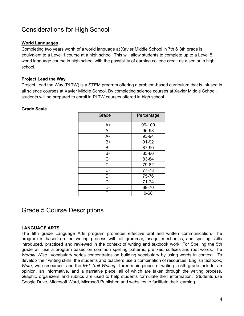## <span id="page-4-0"></span>Considerations for High School

#### **World Languages**

Completing two years worth of a world language at Xavier Middle School in 7th & 8th grade is equivalent to a Level 1 course at a high school. This will allow students to complete up to a Level 5 world language course in high school with the possibility of earning college credit as a senior in high school.

#### **Project Lead the Way**

Project Lead the Way (PLTW) is a STEM program offering a problem-based curriculum that is infused in all science courses at Xavier Middle School. By completing science courses at Xavier Middle School, students will be prepared to enroll in PLTW courses offered in high school.

#### **Grade Scale**

| Grade | Percentage |
|-------|------------|
| A+    | 99-100     |
| A     | 95-98      |
| A-    | 93-94      |
| B+    | 91-92      |
| B     | 87-90      |
| В-    | 85-86      |
| $C+$  | 83-84      |
| C.    | 79-82      |
| $C -$ | 77-78      |
| D+    | 75-76      |
| D     | 71-74      |
| D-    | 69-70      |
|       | $0 - 68$   |

### <span id="page-4-1"></span>Grade 5 Course Descriptions

#### **LANGUAGE ARTS**

The fifth grade Language Arts program promotes effective oral and written communication. The program is based on the writing process with all grammar, usage, mechanics, and spelling skills introduced, practiced and reviewed in the context of writing and textbook work. For Spelling the 5th grade will use a program based on common spelling patterns, prefixes, suffixes and root words. The *Wordly Wise* Vocabulary series concentrates on building vocabulary by using words in context. To develop their writing skills, the students and teachers use a combination of resources: English textbook, *Write*, web resources, and the *6+1 Trait Writing*. Three main pieces of writing in 5th grade include: an opinion, an informative, and a narrative piece, all of which are taken through the writing process. Graphic organizers and rubrics are used to help students formulate their information. Students use Google Drive, Microsoft Word, Microsoft Publisher, and websites to facilitate their learning.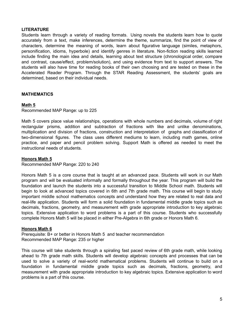#### **LITERATURE**

Students learn through a variety of reading formats. Using novels the students learn how to quote accurately from a text, make inferences, determine the theme, summarize, find the point of view of characters, determine the meaning of words, learn about figurative language (similes, metaphors, personification, idioms, hyperbole) and identify genres in literature. Non-fiction reading skills learned include finding the main idea and details, learning about text structure (chronological order, compare and contrast, cause/effect, problem/solution), and using evidence from text to support answers. The students will also have time for reading books of their own choosing and are tested on these in the Accelerated Reader Program. Through the STAR Reading Assessment, the students' goals are determined, based on their individual needs.

#### **MATHEMATICS**

#### **Math 5**

Recommended MAP Range: up to 225

Math 5 covers place value relationships, operations with whole numbers and decimals, volume of right rectangular prisms, addition and subtraction of fractions with like and unlike denominations, multiplication and division of fractions, construction and interpretation of graphs and classification of two-dimensional figures. The class uses different mediums to learn, including math games, online practice, and paper and pencil problem solving. Support Math is offered as needed to meet the instructional needs of students.

#### **Honors Math 5**

Recommended MAP Range: 220 to 240

Honors Math 5 is a core course that is taught at an advanced pace. Students will work in our Math program and will be evaluated informally and formally throughout the year. This program will build the foundation and launch the students into a successful transition to Middle School math. Students will begin to look at advanced topics covered in 6th and 7th grade math. This course will begin to study important middle school mathematics concepts and understand how they are related to real data and real-life application. Students will form a solid foundation in fundamental middle grade topics such as decimals, fractions, geometry, and measurement with grade appropriate introduction to key algebraic topics. Extensive application to word problems is a part of this course. Students who successfully complete Honors Math 5 will be placed in either Pre-Algebra in 6th grade or Honors Math 6.

#### **Honors Math 6**

Prerequisite: B+ or better in Honors Math 5 and teacher recommendation Recommended MAP Range: 235 or higher

This course will take students through a spiraling fast paced review of 6th grade math, while looking ahead to 7th grade math skills. Students will develop algebraic concepts and processes that can be used to solve a variety of real-world mathematical problems. Students will continue to build on a foundation in fundamental middle grade topics such as decimals, fractions, geometry, and measurement with grade appropriate introduction to key algebraic topics. Extensive application to word problems is a part of this course.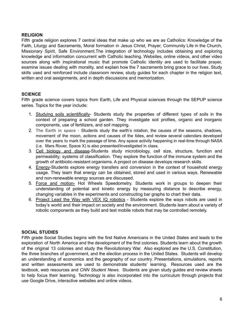#### **RELIGION**

Fifth grade religion explores 7 central ideas that make up who we are as Catholics: Knowledge of the Faith, Liturgy and Sacraments, Moral formation in Jesus Christ, Prayer, Community Life in the Church, Missionary Spirit, Safe Environment.The integration of technology includes obtaining and exploring knowledge and information concurrent with Catholic teaching. Websites, online videos, and other video sources along with inspirational music that promote Catholic identity are used to facilitate prayer, examine issues dealing with morality, and explain how the 7 sacraments bring grace to our lives. Study skills used and reinforced include classroom review, study guides for each chapter in the religion text, written and oral assignments, and in depth discussions and memorization.

#### **SCIENCE**

Fifth grade science covers topics from Earth, Life and Physical sciences through the SEPUP science series. Topics for the year include:

- 1. Studying soils scientifically- Students study the properties of different types of soils in the context of preparing a school garden. They investigate soil profiles, organic and inorganic components, use of fertilizers, and soil mapping.
- 2. **The Earth in space** Students study the earth's rotation, the causes of the seasons, shadows, movement of the moon, actions and causes of the tides, and review several calendars developed over the years to mark the passage of time. Any space activity happening in real-time through NASA (i.e. Mars Rover, Space X) is also presented/investigated in class.
- 3. Cell biology and disease-Students study microbiology, cell size, structure, function and permeability; systems of classification. They explore the function of the immune system and the growth of antibiotic-resistant organisms. A project on disease develops research skills.
- 4. Energy-Students explore energy transfers and conversion in the context of household energy usage. They learn that energy can be obtained, stored and used in various ways. Renewable and non-renewable energy sources are discussed.
- 5. Force and motion- Hot Wheels Speedometry. Students work in groups to deepen their understanding of potential and kinetic energy by measuring distance to describe energy, changing variables in the experiments and constructing bar graphs to chart their data.
- 6. Project Lead the Way with VEX IQ robotics Students explore the ways robots are used in today's world and their impact on society and the environment. Students learn about a variety of robotic components as they build and test mobile robots that may be controlled remotely.

#### **SOCIAL STUDIES**

Fifth grade Social Studies begins with the first Native Americans in the United States and leads to the exploration of North America and the development of the first colonies. Students learn about the growth of the original 13 colonies and study the Revolutionary War. Also explored are the U.S. Constitution, the three branches of government, and the election process in the United States. Students will develop an understanding of economics and the geography of our country. Presentations, simulations, reports and written assessments are used to demonstrate students' learning. Resources used are the textbook, web resources and *CNN Student News*. Students are given study guides and review sheets to help focus their learning. Technology is also incorporated into the curriculum through projects that use Google Drive, interactive websites and online videos.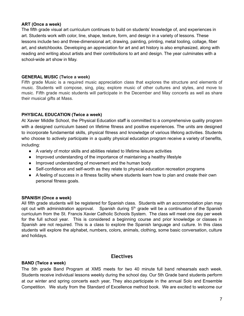#### **ART (Once a week)**

The fifth grade visual art curriculum continues to build on students' knowledge of, and experiences in art. Students work with color, line, shape, texture, form, and design in a variety of lessons. These lessons include two and three-dimensional art; drawing, painting, printing, metal tooling, collage, fiber art, and sketchbooks. Developing an appreciation for art and art history is also emphasized, along with reading and writing about artists and their contributions to art and design. The year culminates with a school-wide art show in May.

#### **GENERAL MUSIC (Twice a week)**

Fifth grade Music is a required music appreciation class that explores the structure and elements of music. Students will compose, sing, play, explore music of other cultures and styles, and move to music. Fifth grade music students will participate in the December and May concerts as well as share their musical gifts at Mass.

#### **PHYSICAL EDUCATION (Twice a week)**

At Xavier Middle School, the Physical Education staff is committed to a comprehensive quality program with a designed curriculum based on lifetime fitness and positive experiences. The units are designed to incorporate fundamental skills, physical fitness and knowledge of various lifelong activities. Students who choose to actively participate in a quality physical education program receive a variety of benefits, including:

- A variety of motor skills and abilities related to lifetime leisure activities
- Improved understanding of the importance of maintaining a healthy lifestyle
- Improved understanding of movement and the human body
- Self-confidence and self-worth as they relate to physical education recreation programs
- A feeling of success in a fitness facility where students learn how to plan and create their own personal fitness goals.

#### **SPANISH (Once a week)**

All fifth grade students will be registered for Spanish class. Students with an accommodation plan may opt out with administration approval. Spanish during  $5<sup>th</sup>$  grade will be a continuation of the Spanish curriculum from the St. Francis Xavier Catholic Schools System. The class will meet one day per week for the full school year. This is considered a beginning course and prior knowledge or classes in Spanish are not required. This is a class to explore the Spanish language and culture. In this class students will explore the alphabet, numbers, colors, animals, clothing, some basic conversation, culture and holidays.

#### **Electives**

#### **BAND (Twice a week)**

The 5th grade Band Program at XMS meets for two 40 minute full band rehearsals each week. Students receive individual lessons weekly during the school day. Our 5th Grade band students perform at our winter and spring concerts each year, They also.participate in the annual Solo and Ensemble Competition. We study from the Standard of Excellence method book. We are excited to welcome our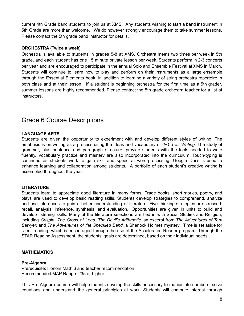current 4th Grade band students to join us at XMS. Any students wishing to start a band instrument in 5th Grade are more than welcome. We do however strongly encourage them to take summer lessons. Please contact the 5th grade band instructor for details.

#### **ORCHESTRA (Twice a week)**

Orchestra is available to students in grades 5-8 at XMS. Orchestra meets two times per week in 5th grade, and each student has one 15 minute private lesson per week. Students perform in 2-3 concerts per year and are encouraged to participate in the annual Solo and Ensemble Festival at XMS in March. Students will continue to learn how to play and perform on their instruments as a large ensemble through the Essential Elements book, in addition to learning a variety of string orchestra repertoire in both class and at their lesson. If a student is beginning orchestra for the first time as a 5th grader, summer lessons are highly recommended. Please contact the 5th grade orchestra teacher for a list of instructors.

## <span id="page-8-0"></span>Grade 6 Course Descriptions

#### **LANGUAGE ARTS**

Students are given the opportunity to experiment with and develop different styles of writing. The emphasis is on writing as a process using the ideas and vocabulary of *6+1 Trait Writing*. The study of grammar, plus sentence and paragraph structure, provide students with the tools needed to write fluently. Vocabulary practice and mastery are also incorporated into the curriculum. Touch-typing is continued as students work to gain skill and speed at word-processing. Google Docs is used to enhance learning and collaboration among students. A portfolio of each student's creative writing is assembled throughout the year.

#### **LITERATURE**

Students learn to appreciate good literature in many forms. Trade books, short stories, poetry, and plays are used to develop basic reading skills. Students develop strategies to comprehend, analyze and use inferences to gain a better understanding of literature. Five thinking strategies are stressed: recall, analysis, inference, synthesis, and evaluation. Opportunities are given in units to build and develop listening skills. Many of the literature selections are tied in with Social Studies and Religion, including *Crispin: The Cross of Lead*, *The Devil's Arithmetic,* an excerpt from *The Adventures of Tom Sawyer,* and *The Adventures of the Speckled Band,* a Sherlock Holmes mystery. Time is set aside for silent reading, which is encouraged through the use of the Accelerated Reader program. Through the STAR Reading Assessment, the students' goals are determined, based on their individual needs.

#### **MATHEMATICS**

#### **Pre-Algebra**

Prerequisite: Honors Math 6 and teacher recommendation Recommended MAP Range: 235 or higher

This Pre-Algebra course will help students develop the skills necessary to manipulate numbers, solve equations and understand the general principles at work. Students will compute interest through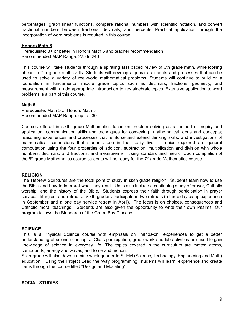percentages, graph linear functions, compare rational numbers with scientific notation, and convert fractional numbers between fractions, decimals, and percents. Practical application through the incorporation of word problems is required in this course.

#### **Honors Math 6**

Prerequisite: B+ or better in Honors Math 5 and teacher recommendation Recommended MAP Range: 225 to 240

This course will take students through a spiraling fast paced review of 6th grade math, while looking ahead to 7th grade math skills. Students will develop algebraic concepts and processes that can be used to solve a variety of real-world mathematical problems. Students will continue to build on a foundation in fundamental middle grade topics such as decimals, fractions, geometry, and measurement with grade appropriate introduction to key algebraic topics. Extensive application to word problems is a part of this course.

#### **Math 6**

Prerequisite: Math 5 or Honors Math 5 Recommended MAP Range: up to 230

Courses offered in sixth grade Mathematics focus on problem solving as a method of inquiry and application; communication skills and techniques for conveying mathematical ideas and concepts; reasoning experiences and processes that reinforce and extend thinking skills; and investigations of mathematical connections that students use in their daily lives. Topics explored are general computation using the four properties of addition, subtraction, multiplication and division with whole numbers, decimals, and fractions; and measurement using standard and metric. Upon completion of the  $6<sup>th</sup>$  grade Mathematics course students will be ready for the  $7<sup>th</sup>$  grade Mathematics course.

#### **RELIGION**

The Hebrew Scriptures are the focal point of study in sixth grade religion. Students learn how to use the Bible and how to interpret what they read. Units also include a continuing study of prayer, Catholic worship, and the history of the Bible. Students express their faith through participation in prayer services, liturgies, and retreats. Sixth graders participate in two retreats (a three day camp experience in September and a one day service retreat in April). The focus is on choices, consequences and Catholic moral teachings. Students are also given the opportunity to write their own Psalms. Our program follows the Standards of the Green Bay Diocese.

#### **SCIENCE**

This is a Physical Science course with emphasis on "hands-on" experiences to get a better understanding of science concepts. Class participation, group work and lab activities are used to gain knowledge of science in everyday life. The topics covered in the curriculum are matter, atoms, compounds, energy and waves, and force and motion.

Sixth grade will also devote a nine week quarter to STEM (Science, Technology, Engineering and Math) education. Using the Project Lead the Way programming, students will learn, experience and create items through the course titled "Design and Modeling".

#### **SOCIAL STUDIES**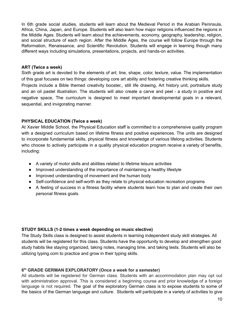In 6th grade social studies, students will learn about the Medieval Period in the Arabian Peninsula, Africa, China, Japan, and Europe. Students will also learn how major religions influenced the regions in the Middle Ages. Students will learn about the achievements, economy, geography, leadership, religion, and social structure of each region. After the Middle Ages, the course will follow Europe through the Reformation, Renaissance, and Scientific Revolution. Students will engage in learning though many different ways including simulations, presentations, projects, and hands-on activities.

#### **ART (Twice a week)**

Sixth grade art is devoted to the elements of art; line, shape, color, texture, value. The implementation of this goal focuses on two things: developing core art ability and fostering creative thinking skills. Projects include a Bible themed creativity booster,, still life drawing, Art history unit, portraiture study and an oil pastel illustration. The students will also create a carve and peel - a study in positive and negative space, The curriculum is designed to meet important developmental goals in a relevant, sequential, and invigorating manner.

#### **PHYSICAL EDUCATION (Twice a week)**

At Xavier Middle School, the Physical Education staff is committed to a comprehensive quality program with a designed curriculum based on lifetime fitness and positive experiences. The units are designed to incorporate fundamental skills, physical fitness and knowledge of various lifelong activities. Students who choose to actively participate in a quality physical education program receive a variety of benefits, including:

- A variety of motor skills and abilities related to lifetime leisure activities
- Improved understanding of the importance of maintaining a healthy lifestyle
- Improved understanding of movement and the human body
- Self-confidence and self-worth as they relate to physical education recreation programs
- A feeling of success in a fitness facility where students learn how to plan and create their own personal fitness goals.

#### **STUDY SKILLS (1-2 times a week depending on music elective)**

The Study Skills class is designed to assist students in learning independent study skill strategies. All students will be registered for this class. Students have the opportunity to develop and strengthen good study habits like staying organized, taking notes, managing time, and taking tests. Students will also be utilizing typing.com to practice and grow in their typing skills.

#### **6 th GRADE GERMAN EXPLORATORY (Once a week for a semester)**

All students will be registered for German class. Students with an accommodation plan may opt out with administration approval. This is considered a beginning course and prior knowledge of a foreign language is not required. The goal of the exploratory German class is to expose students to some of the basics of the German language and culture. Students will participate in a variety of activities to give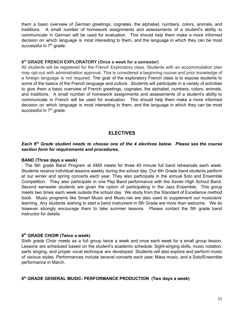them a basic overview of German greetings, cognates, the alphabet, numbers, colors, animals, and traditions. A small number of homework assignments and assessments of a student's ability to communicate in German will be used for evaluation. This should help them make a more informed decision on which language is most interesting to them, and the language in which they can be most successful in 7<sup>th</sup> grade.

#### **6 th GRADE FRENCH EXPLORATORY (Once a week for a semester)**

All students will be registered for the French Exploratory class. Students with an accommodation plan may opt-out with administration approval. This is considered a beginning course and prior knowledge of a foreign language is not required. The goal of the exploratory French class is to expose students to some of the basics of the French language and culture. Students will participate in a variety of activities to give them a basic overview of French greetings, cognates, the alphabet, numbers, colors, animals, and traditions. A small number of homework assignments and assessments of a student's ability to communicate in French will be used for evaluation. This should help them make a more informed decision on which language is most interesting to them, and the language in which they can be most successful in 7<sup>th</sup> grade.

#### **ELECTIVES**

#### *Each 6 th Grade student needs to choose one of the 4 electives below. Please see the course section form for requirements and procedures.*

#### **BAND (Three days a week)**

. The 6th grade Band Program at XMS meets for three 40 minute full band rehearsals each week. Students receive individual lessons weekly during the school day. Our 6th Grade band students perform at our winter and spring concerts each year, They also participate in the annual Solo and Ensemble Competition. They also participate in one Pep Band performance with the Xavier High School Band. Second semester students are given the option of participating in the Jazz Ensemble. This group meets two times each week outside the school day. We study from the Standard of Excellence method book. Music programs like Smart Music and Music.net are also used to supplement our musicians' learning. Any students wishing to start a band instrument in 5th Grade are more than welcome. We do however strongly encourage them to take summer lessons. Please contact the 5th grade band instructor for details.

#### **6 th GRADE CHOIR (Twice a week)**

Sixth grade Choir meets as a full group twice a week and once each week for a small group lesson. Lessons are scheduled based on the student's academic schedule. Sight-singing skills, music notation, parts singing, and proper vocal technique are developed. Students will also explore and perform music of various styles. Performances include several concerts each year, Mass music, and a Solo/Ensemble performance in March.

#### **6 th GRADE GENERAL MUSIC- PERFORMANCE PRODUCTION (Two days a week)**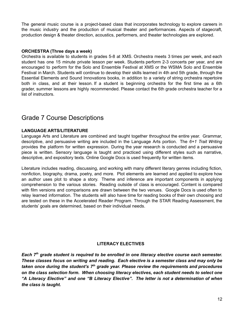The general music course is a project-based class that incorporates technology to explore careers in the music industry and the production of musical theater and performances. Aspects of stagecraft, production design & theater direction, acoustics, performers, and theater technologies are explored.

#### **ORCHESTRA (Three days a week)**

Orchestra is available to students in grades 5-8 at XMS. Orchestra meets 3 times per week, and each student has one 15 minute private lesson per week. Students perform 2-3 concerts per year, and are encouraged to perform for the Solo and Ensemble Festival at XMS or the WSMA Solo and Ensemble Festival in March. Students will continue to develop their skills learned in 4th and 5th grade, through the Essential Elements and Sound Innovations books, in addition to a variety of string orchestra repertoire both in class, and at their lesson. If a student is beginning orchestra for the first time as a 6th grader, summer lessons are highly recommended. Please contact the 6th grade orchestra teacher for a list of instructors.

## <span id="page-12-0"></span>Grade 7 Course Descriptions

#### **LANGUAGE ARTS/LITERATURE**

Language Arts and Literature are combined and taught together throughout the entire year. Grammar, descriptive, and persuasive writing are included in the Language Arts portion. The *6+1 Trait Writing* provides the platform for written expression. During the year research is conducted and a persuasive piece is written. Sensory language is taught and practiced using different styles such as narrative, descriptive, and expository texts. Online Google Docs is used frequently for written items.

Literature includes reading, discussing, and working with many different literary genres including fiction, nonfiction, biography, drama, poetry, and more. Plot elements are learned and applied to explore how an author uses plot to shape a story. Theme and inference are important components in applying comprehension to the various stories. Reading outside of class is encouraged. Content is compared with film versions and comparisons are drawn between the two venues. Google Docs is used often to relay learned information. The students will also have time for reading books of their own choosing and are tested on these in the Accelerated Reader Program. Through the STAR Reading Assessment, the students' goals are determined, based on their individual needs.

#### **LITERACY ELECTIVES**

*Each 7 th grade student is required to be enrolled in one literacy elective course each semester. These classes focus on writing and reading. Each elective is a semester class and may only be taken once during the student's 7 th grade year. Please review the requirements and procedures on the class selection form. When choosing literacy electives, each student needs to select one "A Literacy Elective" and one "B Literacy Elective". The letter is not a determination of when the class is taught.*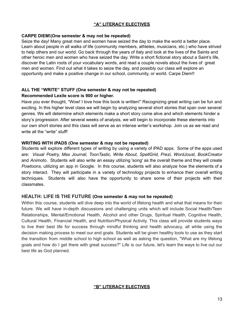#### **"A" LITERACY ELECTIVES**

#### **CARPE DIEM!(One semester & may not be repeated)**

Seize the day! Many great men and women have seized the day to make the world a better place. Learn about people in all walks of life (community members, athletes, musicians, etc.) who have strived to help others and our world. Go back through the years of Italy and look at the lives of the Saints and other heroic men and women who have seized the day. Write a short fictional story about a Saint's life, discover the Latin roots of your vocabulary words, and read a couple novels about the lives of great men and women. Find out what it takes to seize the day, and possibly our class will explore an opportunity and make a positive change in our school, community, or world. Carpe Diem!!

#### **ALL THE "WRITE" STUFF (One semester & may not be repeated) Recommended Lexile score is 900 or higher.**

Have you ever thought, "Wow! I love how this book is written!" Recognizing great writing can be fun and exciting. In this higher level class we will begin by analyzing several short stories that span over several genres. We will determine which elements make a short story come alive and which elements hinder a story's progression. After several weeks of analysis, we will begin to incorporate these elements into our own short stories and this class will serve as an intense writer's workshop. Join us as we read and write all the "write" stuff!

#### **WRITING WITH iPADS (One semester & may not be repeated)**

Students will explore different types of writing by using a variety of iPAD apps. Some of the apps used are: *Visual Poetry, Max Journal, ToonTastic, Write About, SpellGrid, Prezi, WordJoust, BookCreator* and *Animoto*. Students will also write an essay utilizing 'song' as the overall theme and they will create *Powtoons*, utilizing an app in Google. In this course, students will also analyze how the elements of a story interact. They will participate in a variety of technology projects to enhance their overall writing techniques. Students will also have the opportunity to share some of their projects with their classmates.

#### **HEALTH: LIFE IS THE FUTURE (One semester & may not be repeated)**

Within this course, students will dive deep into the world of lifelong health and what that means for their future. We will have in-depth discussions and challenging units which will include Social Health/Teen Relationships, Mental/Emotional Health, Alcohol and other Drugs, Spiritual Health, Cognitive Health, Cultural Health, Financial Health, and Nutrition/Physical Activity. This class will provide students ways to live their best life for success through mindful thinking and health advocacy, all while using the decision making process to meet our end goals. Students will be given healthy tools to use as they start the transition from middle school to high school as well as asking the question, "What are my lifelong goals and how do I get there with great success?" Life is our future, let's learn the ways to live out our best life as God planned.

#### **"B" LITERACY ELECTIVES**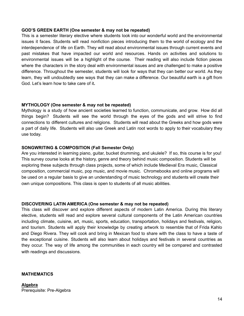#### **GOD'S GREEN EARTH (One semester & may not be repeated)**

This is a semester literary elective where students look into our wonderful world and the environmental issues it faces. Students will read nonfiction pieces introducing them to the world of ecology and the interdependence of life on Earth. They will read about environmental issues through current events and past mistakes that have impacted our world and resources. Hands on activities and solutions to environmental issues will be a highlight of the course. Their reading will also include fiction pieces where the characters in the story deal with environmental issues and are challenged to make a positive difference. Throughout the semester, students will look for ways that they can better our world. As they learn, they will undoubtedly see ways that they can make a difference. Our beautiful earth is a gift from God. Let's learn how to take care of it**.**

#### **MYTHOLOGY (One semester & may not be repeated)**

Mythology is a study of how ancient societies learned to function, communicate, and grow. How did all things begin? Students will see the world through the eyes of the gods and will strive to find connections to different cultures and religions. Students will read about the Greeks and how gods were a part of daily life. Students will also use Greek and Latin root words to apply to their vocabulary they use today.

#### **SONGWRITING & COMPOSITION (Fall Semester Only)**

Are you interested in learning piano, guitar, bucket drumming, and ukulele? If so, this course is for you! This survey course looks at the history, genre and theory behind music composition. Students will be exploring these subjects through class projects, some of which include Medieval Era music, Classical composition, commercial music, pop music, and movie music. Chromebooks and online programs will be used on a regular basis to give an understanding of music technology and students will create their own unique compositions. This class is open to students of all music abilities.

#### **DISCOVERING LATIN AMERICA (One semester & may not be repeated)**

This class will discover and explore different aspects of modern Latin America. During this literary elective, students will read and explore several cultural components of the Latin American countries including climate, cuisine, art, music, sports, education, transportation, holidays and festivals, religion, and tourism. Students will apply their knowledge by creating artwork to resemble that of Frida Kahlo and Diego Rivera. They will cook and bring in Mexican food to share with the class to have a taste of the exceptional cuisine. Students will also learn about holidays and festivals in several countries as they occur. The way of life among the communities in each country will be compared and contrasted with readings and discussions.

#### **MATHEMATICS**

**Algebra** Prerequisite: Pre-Algebra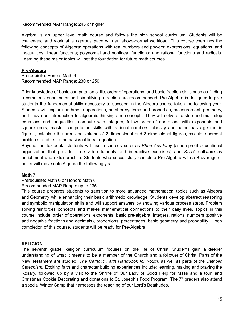Recommended MAP Range: 245 or higher

Algebra is an upper level math course and follows the high school curriculum. Students will be challenged and work at a rigorous pace with an above-normal workload. This course examines the following concepts of Algebra: operations with real numbers and powers; expressions, equations, and inequalities; linear functions; polynomial and nonlinear functions; and rational functions and radicals. Learning these major topics will set the foundation for future math courses.

#### **Pre-Algebra**

Prerequisite: Honors Math 6 Recommended MAP Range: 230 or 250

Prior knowledge of basic computation skills, order of operations, and basic fraction skills such as finding a common denominator and simplifying a fraction are recommended. Pre-Algebra is designed to give students the fundamental skills necessary to succeed in the Algebra course taken the following year. Students will explore arithmetic operations, number systems and properties, measurement, geometry, and have an introduction to algebraic thinking and concepts. They will solve one-step and multi-step equations and inequalities, compute with integers, follow order of operations with exponents and square roots, master computation skills with rational numbers, classify and name basic geometric figures, calculate the area and volume of 2-dimensional and 3-dimensional figures, calculate percent problems, and learn the basics of linear equation.

Beyond the textbook, students will use resources such as *Khan Academy* (a non-profit educational organization that provides free video tutorials and interactive exercises) and *KUTA* software as enrichment and extra practice. Students who successfully complete Pre-Algebra with a B average or better will move onto Algebra the following year.

#### **Math 7**

#### Prerequisite: Math 6 or Honors Math 6

#### Recommended MAP Range: up to 235

This course prepares students to transition to more advanced mathematical topics such as Algebra and Geometry while enhancing their basic arithmetic knowledge. Students develop abstract reasoning and symbolic manipulation skills and will support answers by showing various process steps. Problem solving reinforces concepts and makes mathematical connections to their daily lives. Topics in this course include: order of operations, exponents, basic pre-algebra, integers, rational numbers (positive and negative fractions and decimals), proportions, percentages, basic geometry and probability. Upon completion of this course, students will be ready for Pre-Algebra.

#### **RELIGION**

The seventh grade Religion curriculum focuses on the life of Christ. Students gain a deeper understanding of what it means to be a member of the Church and a follower of Christ. Parts of the New Testament are studied, *The Catholic Faith Handbook for Youth,* as well as parts of the *Catholic Catechism*. Exciting faith and character building experiences include: learning, making and praying the Rosary, followed up by a visit to the Shrine of Our Lady of Good Help for Mass and a tour, and Christmas Cookie Decorating and donations to St. Joseph's Food Program. The 7<sup>th</sup> graders also attend a special Winter Camp that harnesses the teaching of our Lord's Beatitudes.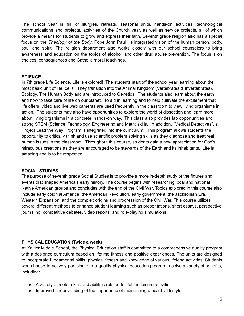The school year is full of liturgies, retreats, seasonal units, hands-on activities, technological communications and projects, activities of the Church year, as well as service projects, all of which provide a means for students to grow and express their faith. Seventh grade religion also has a special focus on the *Theology of the Body*, Pope John Paul II's integrated vision of the human person, body, soul and spirit. The religion department also works closely with our school counselors to bring awareness and education on the topics of alcohol, and other drug abuse prevention. The focus is on choices, consequences and Catholic moral teachings.

#### **SCIENCE**

In 7th grade Life Science, Life is explored! The students start off the school year learning about the most basic unit of life: cells. They transition into the Animal Kingdom (Vertebrates & Invertebrates), Ecology, The Human Body and are introduced to Genetics. The students also learn about the earth and how to take care of life on our planet. To aid in learning and to help cultivate the excitement that life offers, video and live web cameras are used frequently in the classroom to view living organisms in action. The students may also have opportunities to explore the world of dissection and learn more about living organisms in a concrete, hands-on way. This class also provides lab opportunities and strong STEM (Science, Technology, Engineering and Math) skills. In addition, "Medical Detectives", a Project Lead the Way Program is integrated into the curriculum. This program allows students the opportunity to critically think and use scientific problem solving skills as they diagnose and treat real human issues in the classroom. Throughout this course, students gain a new appreciation for God's miraculous creations as they are encouraged to be stewards of the Earth and its inhabitants. Life is amazing and is to be respected.

#### **SOCIAL STUDIES**

The purpose of seventh grade Social Studies is to provide a more in-depth study of the figures and events that shaped America's early history. The course begins with researching local and national Native American groups and concludes with the end of the Civil War. Topics explored in this course also include early colonial America, the American Revolution, early government, the Jacksonian Era, Western Expansion, and the complex origins and progression of the Civil War. This course utilizes several different methods to enhance student learning such as presentations, short essays, perspective journaling, competitive debates, video reports, and role-playing simulations.

#### **PHYSICAL EDUCATION (Twice a week)**

At Xavier Middle School, the Physical Education staff is committed to a comprehensive quality program with a designed curriculum based on lifetime fitness and positive experiences. The units are designed to incorporate fundamental skills, physical fitness and knowledge of various lifelong activities. Students who choose to actively participate in a quality physical education program receive a variety of benefits, including:

- A variety of motor skills and abilities related to lifetime leisure activities
- Improved understanding of the importance of maintaining a healthy lifestyle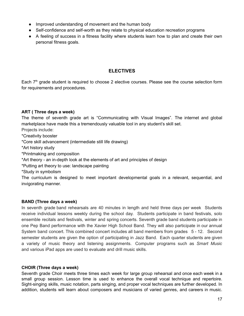- Improved understanding of movement and the human body
- Self-confidence and self-worth as they relate to physical education recreation programs
- A feeling of success in a fitness facility where students learn how to plan and create their own personal fitness goals.

#### **ELECTIVES**

Each  $7<sup>th</sup>$  grade student is required to choose 2 elective courses. Please see the course selection form for requirements and procedures.

#### **ART ( Three days a week)**

The theme of seventh grade art is "Communicating with Visual Images". The internet and global marketplace have made this a tremendously valuable tool in any student's skill set.

- Projects include:
- \*Creativity booster
- \*Core skill advancement (intermediate still life drawing)
- \*Art history study
- \*Printmaking and composition
- \*Art theory an in-depth look at the elements of art and principles of design
- \*Putting art theory to use: landscape painting
- \*Study in symbolism

The curriculum is designed to meet important developmental goals in a relevant, sequential, and invigorating manner.

#### **BAND (Three days a week)**

In seventh grade band rehearsals are 40 minutes in length and held three days per week Students receive individual lessons weekly during the school day. Students participate in band festivals, solo ensemble recitals and festivals, winter and spring concerts. Seventh grade band students participate in one Pep Band performance with the Xavier High School Band. They will also participate in our annual System band concert. This combined concert includes all band members from grades 5 - 12. Second semester students are given the option of participating in Jazz Band. Each quarter students are given a variety of music theory and listening assignments. Computer programs such as *Smart Music* and various iPad apps are used to evaluate and drill music skills.

#### **CHOIR (Three days a week)**

Seventh grade Choir meets three times each week for large group rehearsal and once each week in a small group session. Lesson time is used to enhance the overall vocal technique and repertoire. Sight-singing skills, music notation, parts singing, and proper vocal techniques are further developed. In addition, students will learn about composers and musicians of varied genres, and careers in music.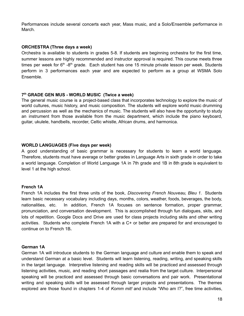Performances include several concerts each year, Mass music, and a Solo/Ensemble performance in March.

#### **ORCHESTRA (Three days a week)**

Orchestra is available to students in grades 5-8. If students are beginning orchestra for the first time, summer lessons are highly recommended and instructor approval is required. This course meets three times per week for 6<sup>th</sup> -8<sup>th</sup> grade. Each student has one 15 minute private lesson per week. Students perform in 3 performances each year and are expected to perform as a group at WSMA Solo Ensemble.

#### **7 th GRADE GEN MUS - WORLD MUSIC (Twice a week)**

The general music course is a project-based class that incorporates technology to explore the music of world cultures, music history, and music composition. The students will explore world music drumming and percussion as well as the mechanics of music. The students will also have the opportunity to study an instrument from those available from the music department, which include the piano keyboard, guitar, ukulele, handbells, recorder, Celtic whistle, African drums, and harmonica.

#### **WORLD LANGUAGES (Five days per week)**

A good understanding of basic grammar is necessary for students to learn a world language. Therefore, students must have average or better grades in Language Arts in sixth grade in order to take a world language. Completion of World Language 1A in 7th grade and 1B in 8th grade is equivalent to level 1 at the high school.

#### **French 1A**

French 1A includes the first three units of the book, *Discovering French Nouveau, Bleu 1*. Students learn basic necessary vocabulary including days, months, colors, weather, foods, beverages, the body, nationalities, etc. In addition, French 1A focuses on sentence formation, proper grammar, pronunciation, and conversation development. This is accomplished through fun dialogues, skits, and lots of repetition. Google Docs and Drive are used for class projects including skits and other writing activities. Students who complete French 1A with a C+ or better are prepared for and encouraged to continue on to French 1B**.**

#### **German 1A**

German 1A will introduce students to the German language and culture and enable them to speak and understand German at a basic level. Students will learn listening, reading, writing, and speaking skills in the target language. Interpretive listening and reading skills will be practiced and assessed through listening activities, music, and reading short passages and realia from the target culture. Interpersonal speaking will be practiced and assessed through basic conversations and pair work. Presentational writing and speaking skills will be assessed through larger projects and presentations. The themes explored are those found in chapters 1-4 of *Komm mit!* and include "Who am I?", free time activities,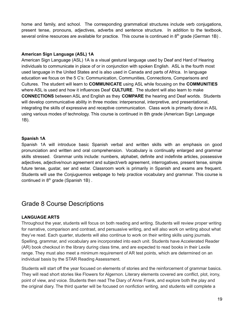home and family, and school. The corresponding grammatical structures include verb conjugations, present tense, pronouns, adjectives, adverbs and sentence structure. In addition to the textbook, several online resources are available for practice. This course is continued in  $8<sup>th</sup>$  grade (German 1B).

#### **American Sign Language (ASL) 1A**

American Sign Language (ASL) 1A is a visual gestural language used by Deaf and Hard of Hearing individuals to communicate in place of or in conjunction with spoken English. ASL is the fourth most used language in the United States and is also used in Canada and parts of Africa. In language education we focus on the 5 C's: Communication, Communities, Connections, Comparisons and Cultures. The student will learn to **COMMUNICATE** using ASL while focusing on the **COMMUNITIES** where ASL is used and how it influences Deaf **CULTURE**. The student will also learn to make **CONNECTIONS** between ASL and English as they **COMPARE** the hearing and Deaf worlds. Students will develop communicative ability in three modes: interpersonal, interpretive, and presentational, integrating the skills of expressive and receptive communication. Class work is primarily done in ASL using various modes of technology. This course is continued in 8th grade (American Sign Language 1B).

#### **Spanish 1A**

Spanish 1A will introduce basic Spanish verbal and written skills with an emphasis on good pronunciation and written and oral comprehension. Vocabulary is continually enlarged and grammar skills stressed. Grammar units include: numbers, alphabet, definite and indefinite articles, possessive adjectives, adjective/noun agreement and subject/verb agreement, interrogatives, present tense, simple future tense, gustar, ser and estar. Classroom work is primarily in Spanish and exams are frequent. Students will use the *Conjuguemos* webpage to help practice vocabulary and grammar. This course is continued in  $8<sup>th</sup>$  grade (Spanish 1B).

## <span id="page-19-0"></span>Grade 8 Course Descriptions

#### **LANGUAGE ARTS**

Throughout the year, students will focus on both reading and writing. Students will review proper writing for narrative, comparison and contrast, and persuasive writing, and will also work on writing about what they've read. Each quarter, students will also continue to work on their writing skills using journals. Spelling, grammar, and vocabulary are incorporated into each unit. Students have Accelerated Reader (AR) book checkout in the library during class time, and are expected to read books in their Lexile range. They must also meet a minimum requirement of AR test points, which are determined on an individual basis by the STAR Reading Assessment.

Students will start off the year focused on elements of stories and the reinforcement of grammar basics. They will read short stories like Flowers for Algernon. Literary elements covered are conflict, plot, irony, point of view, and voice. Students then read The Diary of Anne Frank, and explore both the play and the original diary. The third quarter will be focused on nonfiction writing, and students will complete a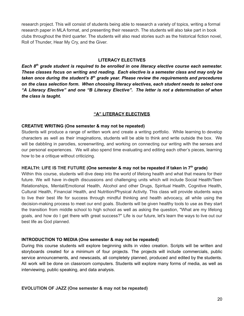research project. This will consist of students being able to research a variety of topics, writing a formal research paper in MLA format, and presenting their research. The students will also take part in book clubs throughout the third quarter. The students will also read stories such as the historical fiction novel, Roll of Thunder, Hear My Cry, and the Giver.

#### **LITERACY ELECTIVES**

*Each 8 th grade student is required to be enrolled in one literacy elective course each semester. These classes focus on writing and reading. Each elective is a semester class and may only be taken once during the student's 8 th grade year. Please review the requirements and procedures on the class selection form. When choosing literacy electives, each student needs to select one "A Literacy Elective" and one "B Literacy Elective". The letter is not a determination of when the class is taught.*

#### **"A" LITERACY ELECTIVES**

#### **CREATIVE WRITING (One semester & may not be repeated)**

Students will produce a range of written work and create a writing portfolio. While learning to develop characters as well as their imaginations, students will be able to think and write outside the box. We will be dabbling in parodies, screenwriting, and working on connecting our writing with the senses and our personal experiences. We will also spend time evaluating and editing each other's pieces, learning how to be a critique without criticizing.

#### **HEALTH: LIFE IS THE FUTURE (One semester & may not be repeated if taken in 7 th grade)**

Within this course, students will dive deep into the world of lifelong health and what that means for their future. We will have in-depth discussions and challenging units which will include Social Health/Teen Relationships, Mental/Emotional Health, Alcohol and other Drugs, Spiritual Health, Cognitive Health, Cultural Health, Financial Health, and Nutrition/Physical Activity. This class will provide students ways to live their best life for success through mindful thinking and health advocacy, all while using the decision-making process to meet our end goals. Students will be given healthy tools to use as they start the transition from middle school to high school as well as asking the question, "What are my lifelong goals, and how do I get there with great success?" Life is our future, let's learn the ways to live out our best life as God planned.

#### **INTRODUCTION TO MEDIA (One semester & may not be repeated)**

During this course students will explore beginning skills in video creation. Scripts will be written and storyboards created for a minimum of four projects. The projects will include commercials, public service announcements, and newscasts, all completely planned, produced and edited by the students. All work will be done on classroom computers. Students will explore many forms of media, as well as interviewing, public speaking, and data analysis.

#### **EVOLUTION OF JAZZ (One semester & may not be repeated)**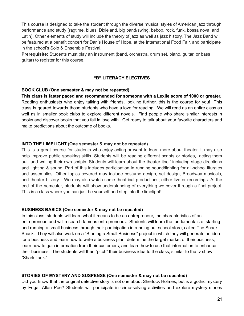This course is designed to take the student through the diverse musical styles of American jazz through performance and study (ragtime, blues, Dixieland, big band/swing, bebop, rock, funk, bossa nova, and Latin). Other elements of study will include the theory of jazz as well as jazz history. The Jazz Band will be featured at a benefit concert for Dan's House of Hope, at the International Food Fair, and participate in the school's Solo & Ensemble Festival.

**Prerequisite:** Students must play an instrument (band, orchestra, drum set, piano, guitar, or bass guitar) to register for this course.

#### **"B" LITERACY ELECTIVES**

#### **BOOK CLUB (One semester & may not be repeated)**

**This class is faster paced and recommended for someone with a Lexile score of 1000 or greater.** Reading enthusiasts who enjoy talking with friends, look no further, this is the course for you! This class is geared towards those students who have a love for reading. We will read as an entire class as well as in smaller book clubs to explore different novels. Find people who share similar interests in books and discover books that you fall in love with. Get ready to talk about your favorite characters and make predictions about the outcome of books.

#### **INTO THE LIMELIGHT (One semester & may not be repeated)**

This is a great course for students who enjoy acting or want to learn more about theater. It may also help improve public speaking skills. Students will be reading different scripts or stories, acting them out, and writing their own scripts. Students will learn about the theater itself including stage directions and lighting & sound. Part of this includes participation in running sound/lighting for all-school liturgies and assemblies. Other topics covered may include costume design, set design, Broadway musicals, and theater history We may also watch some theatrical productions; either live or recordings. At the end of the semester, students will show understanding of everything we cover through a final project. This is a class where you can just be yourself and step into the limelight!

#### **BUSINESS BASICS (One semester & may not be repeated)**

In this class, students will learn what it means to be an entrepreneur, the characteristics of an entrepreneur, and will research famous entrepreneurs. Students will learn the fundamentals of starting and running a small business through their participation in running our school store, called The Snack Shack. They will also work on a "Starting a Small Business" project in which they will generate an idea for a business and learn how to write a business plan, determine the target market of their business, learn how to gain information from their customers, and learn how to use that information to enhance their business. The students will then "pitch" their business idea to the class, similar to the tv show "Shark Tank."

#### **STORIES OF MYSTERY AND SUSPENSE (One semester & may not be repeated)**

Did you know that the original detective story is not one about Sherlock Holmes, but is a gothic mystery by Edgar Allan Poe? Students will participate in crime-solving activities and explore mystery stories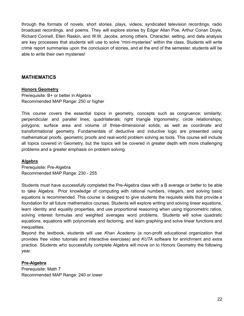through the formats of novels, short stories, plays, videos, syndicated television recordings, radio broadcast recordings, and poems. They will explore stories by Edgar Allan Poe, Arthur Conan Doyle, Richard Connell, Ellen Raskin, and W.W. Jacobs, among others. Character, setting, and data analysis are key processes that students will use to solve "mini-mysteries" within the class. Students will write crime report summaries upon the conclusion of stories, and at the end of the semester, students will be able to write their own mysteries!

#### **MATHEMATICS**

#### **Honors Geometry**

Prerequisite: B+ or better in Algebra Recommended MAP Range: 250 or higher

This course covers the essential topics in geometry, concepts such as congruence; similarity; perpendicular and parallel lines; quadrilaterals; right triangle trigonometry; circle relationships; polygons; surface area and volume of three-dimensional solids; as well as coordinate and transformational geometry. Fundamentals of deductive and inductive logic are presented using mathematical proofs, geometric proofs and real-world problem solving as tools. This course will include all topics covered in Geometry, but the topics will be covered in greater depth with more challenging problems and a greater emphasis on problem solving.

#### **Algebra**

Prerequisite: Pre-Algebra Recommended MAP Range: 230 - 255

Students must have successfully completed the Pre-Algebra class with a B average or better to be able to take Algebra. Prior knowledge of computing with rational numbers, integers, and solving basic equations is recommended. This course is designed to give students the requisite skills that provide a foundation for all future mathematics courses. Students will explore writing and solving linear equations, learn identity and equality properties, and use proportional reasoning when using trigonometric ratios, solving interest formulas and weighted averages word problems. Students will solve quadratic equations, equations with polynomials and factoring, and learn graphing and solve linear functions and inequalities.

Beyond the textbook, students will use *Khan Academy* (a non-profit educational organization that provides free video tutorials and interactive exercises) and *KUTA* software for enrichment and extra practice. Students who successfully complete Algebra will move on to Honors Geometry the following year.

#### **Pre-Algebra**

Prerequisite: Math 7 Recommended MAP Range: 240 or lower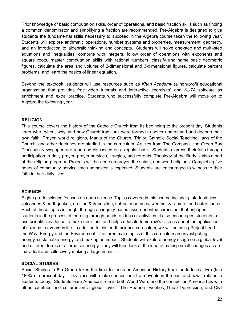Prior knowledge of basic computation skills, order of operations, and basic fraction skills such as finding a common denominator and simplifying a fraction are recommended. Pre-Algebra is designed to give students the fundamental skills necessary to succeed in the Algebra course taken the following year. Students will explore arithmetic operations, number systems and properties, measurement, geometry, and an introduction to algebraic thinking and concepts. Students will solve one-step and multi-step equations and inequalities, compute with integers, follow order of operations with exponents and square roots, master computation skills with rational numbers, classify and name basic geometric figures, calculate the area and volume of 2-dimensional and 3-dimensional figures, calculate percent problems, and learn the basics of linear equation.

Beyond the textbook, students will use resources such as *Khan Academy* (a non-profit educational organization that provides free video tutorials and interactive exercises) and *KUTA* software as enrichment and extra practice. Students who successfully complete Pre-Algebra will move on to Algebra the following year.

#### **RELIGION**

This course covers the history of the Catholic Church from its beginning to the present day. Students learn who, when, why, and how Church traditions were formed to better understand and deepen their own faith. Prayer, world religions, Marks of the Church, Trinity, Catholic Social Teaching, laws of the Church, and other doctrines are studied in the curriculum. Articles from The Compass, the Green Bay Diocesan Newspaper, are read and discussed on a regular basis. Students express their faith through participation in daily prayer, prayer services, liturgies, and retreats. Theology of the Body is also a part of the religion program. Projects will be done on prayer, the saints, and world religions. Completing five hours of community service each semester is expected. Students are encouraged to witness to their faith in their daily lives.

#### **SCIENCE**

Eighth grade science focuses on earth science. Topics covered in this course include: plate tectonics, volcanoes & earthquakes, erosion & deposition, natural resources, weather & climate, and outer space. Each of these topics is taught through an inquiry-based, issue-oriented curriculum that engages students in the process of learning through hands-on labs or activities. It also encourages students to use scientific evidence to make decisions and helps educate tomorrow's citizens about the application of science to everyday life. In addition to this earth science curriculum, we will be using Project Lead the Way: Energy and the Environment. The three main topics of this curriculum are investigating energy, sustainable energy, and making an impact. Students will explore energy usage on a global level and different forms of alternative energy. They will then look at the idea of making small changes as an individual and collectively making a large impact.

#### **SOCIAL STUDIES**

Social Studies in 8th Grade takes the time to focus on American History from the Industrial Era (late 1800s) to present day. This class will make connections from events in the past and how it relates to students today. Students learn America's role in both World Wars and the connection America has with other countries and cultures on a global level. The Roaring Twenties, Great Depression, and Civil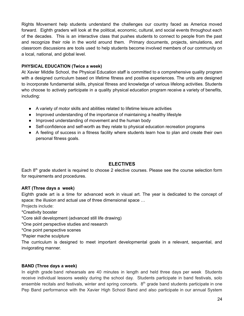Rights Movement help students understand the challenges our country faced as America moved forward. Eighth graders will look at the political, economic, cultural, and social events throughout each of the decades. This is an interactive class that pushes students to connect to people from the past and recognize their role in the world around them. Primary documents, projects, simulations, and classroom discussions are tools used to help students become involved members of our community on a local, national, and global level.

#### **PHYSICAL EDUCATION (Twice a week)**

At Xavier Middle School, the Physical Education staff is committed to a comprehensive quality program with a designed curriculum based on lifetime fitness and positive experiences. The units are designed to incorporate fundamental skills, physical fitness and knowledge of various lifelong activities. Students who choose to actively participate in a quality physical education program receive a variety of benefits, including:

- A variety of motor skills and abilities related to lifetime leisure activities
- Improved understanding of the importance of maintaining a healthy lifestyle
- Improved understanding of movement and the human body
- Self-confidence and self-worth as they relate to physical education recreation programs
- A feeling of success in a fitness facility where students learn how to plan and create their own personal fitness goals.

#### **ELECTIVES**

Each 8<sup>th</sup> grade student is required to choose 2 elective courses. Please see the course selection form for requirements and procedures.

#### **ART (Three days a week)**

Eighth grade art is a time for advanced work in visual art. The year is dedicated to the concept of space: the illusion and actual use of three dimensional space …

Projects include:

\*Creativity booster

- \*Core skill development (advanced still life drawing)
- \*One point perspective studies and research
- \*One point perspective scenes

\*Papier mache sculpture

The curriculum is designed to meet important developmental goals in a relevant, sequential, and invigorating manner.

#### **BAND (Three days a week)**

In eighth grade band rehearsals are 40 minutes in length and held three days per week Students receive individual lessons weekly during the school day. Students participate in band festivals, solo ensemble recitals and festivals, winter and spring concerts.  $8<sup>th</sup>$  grade band students participate in one Pep Band performance with the Xavier High School Band and also participate in our annual System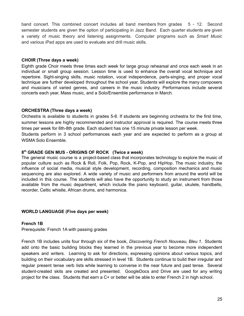band concert. This combined concert includes all band members from grades 5 - 12. Second semester students are given the option of participating in Jazz Band. Each quarter students are given a variety of music theory and listening assignments. Computer programs such as *Smart Music* and various iPad apps are used to evaluate and drill music skills.

#### **CHOIR (Three days a week)**

Eighth grade Choir meets three times each week for large group rehearsal and once each week in an individual or small group session. Lesson time is used to enhance the overall vocal technique and repertoire. Sight-singing skills, music notation, vocal independence, parts-singing, and proper vocal technique are further developed throughout the school year. Students will explore the many composers and musicians of varied genres, and careers in the music industry. Performances include several concerts each year, Mass music, and a Solo/Ensemble performance in March.

#### **ORCHESTRA (Three days a week)**

Orchestra is available to students in grades 5-8. If students are beginning orchestra for the first time, summer lessons are highly recommended and instructor approval is required. The course meets three times per week for 6th-8th grade. Each student has one 15 minute private lesson per week.

Students perform in 3 school performances each year and are expected to perform as a group at WSMA Solo Ensemble.

#### **8 th GRADE GEN MUS - ORIGINS OF ROCK (Twice a week)**

The general music course is a project-based class that incorporates technology to explore the music of popular culture such as Rock & Roll, Folk, Pop, Rock, K-Pop, and HipHop. The music industry, the influence of social media, musical style development, recording, composition mechanics and music sequencing are also explored. A wide variety of music and performers from around the world will be included in this course. The students will also have the opportunity to study an instrument from those available from the music department, which include the piano keyboard, guitar, ukulele, handbells, recorder, Celtic whistle, African drums, and harmonica.

#### **WORLD LANGUAGE (Five days per week)**

#### **French 1B**

Prerequisite: French 1A with passing grades

French 1B includes units four through six of the book, *Discovering French Nouveau, Bleu 1*. Students add onto the basic building blocks they learned in the previous year to become more independent speakers and writers. Learning to ask for directions, expressing opinions about various topics, and building on their vocabulary are skills stressed in level 1B. Students continue to build their irregular and regular present tense verb lists while learning to converse in the near future and past tense. Several student-created skits are created and presented. GoogleDocs and Drive are used for any writing project for the class. Students that earn a C+ or better will be able to enter French 2 in high school.